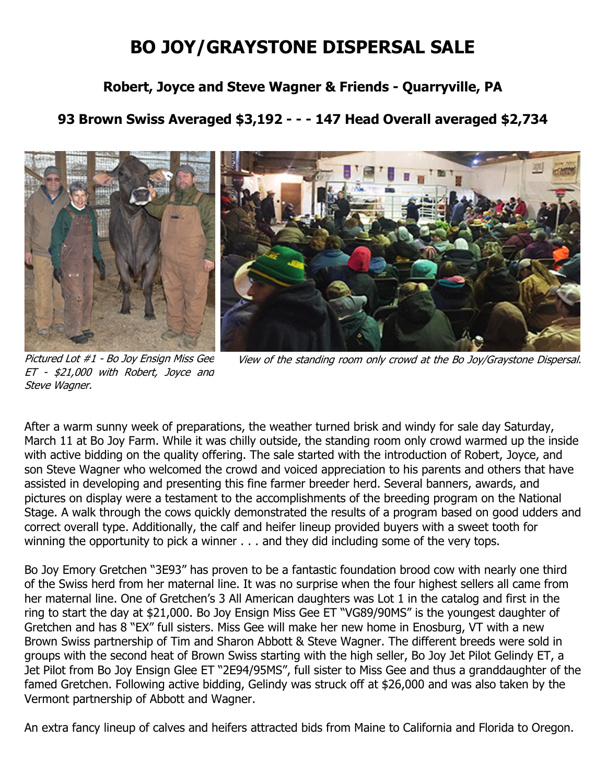## **BO JOY/GRAYSTONE DISPERSAL SALE**

## **Robert, Joyce and Steve Wagner & Friends - Quarryville, PA**

## **93 Brown Swiss Averaged \$3,192 - - - 147 Head Overall averaged \$2,734**



Pictured Lot #1 - Bo Joy Ensign Miss Gee ET - \$21,000 with Robert, Joyce and Steve Wagner.

View of the standing room only crowd at the Bo Joy/Graystone Dispersal.

After a warm sunny week of preparations, the weather turned brisk and windy for sale day Saturday, March 11 at Bo Joy Farm. While it was chilly outside, the standing room only crowd warmed up the inside with active bidding on the quality offering. The sale started with the introduction of Robert, Joyce, and son Steve Wagner who welcomed the crowd and voiced appreciation to his parents and others that have assisted in developing and presenting this fine farmer breeder herd. Several banners, awards, and pictures on display were a testament to the accomplishments of the breeding program on the National Stage. A walk through the cows quickly demonstrated the results of a program based on good udders and correct overall type. Additionally, the calf and heifer lineup provided buyers with a sweet tooth for winning the opportunity to pick a winner . . . and they did including some of the very tops.

Bo Joy Emory Gretchen "3E93" has proven to be a fantastic foundation brood cow with nearly one third of the Swiss herd from her maternal line. It was no surprise when the four highest sellers all came from her maternal line. One of Gretchen's 3 All American daughters was Lot 1 in the catalog and first in the ring to start the day at \$21,000. Bo Joy Ensign Miss Gee ET "VG89/90MS" is the youngest daughter of Gretchen and has 8 "EX" full sisters. Miss Gee will make her new home in Enosburg, VT with a new Brown Swiss partnership of Tim and Sharon Abbott & Steve Wagner. The different breeds were sold in groups with the second heat of Brown Swiss starting with the high seller, Bo Joy Jet Pilot Gelindy ET, a Jet Pilot from Bo Joy Ensign Glee ET "2E94/95MS", full sister to Miss Gee and thus a granddaughter of the famed Gretchen. Following active bidding, Gelindy was struck off at \$26,000 and was also taken by the Vermont partnership of Abbott and Wagner.

An extra fancy lineup of calves and heifers attracted bids from Maine to California and Florida to Oregon.